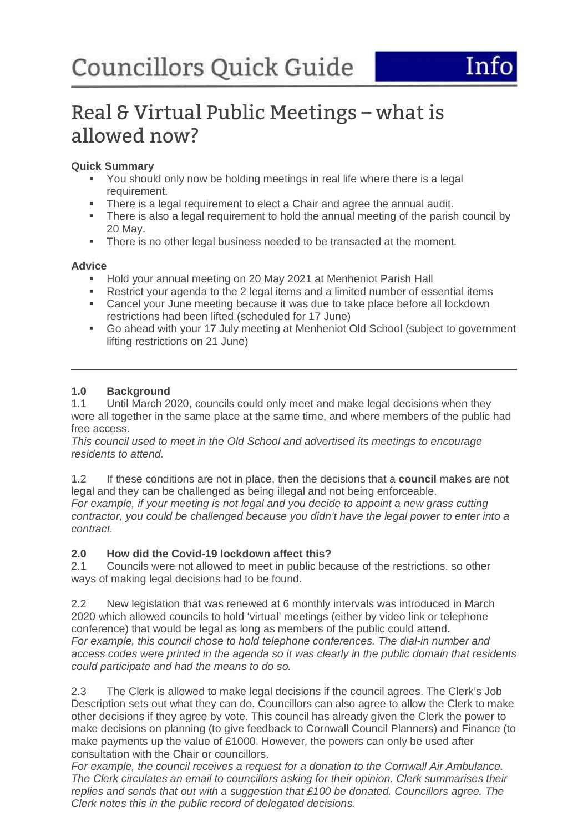# Real & Virtual Public Meetings – what is allowed now?

# **Quick Summary**

- You should only now be holding meetings in real life where there is a legal requirement.
- There is a legal requirement to elect a Chair and agree the annual audit.
- There is also a legal requirement to hold the annual meeting of the parish council by 20 May.
- There is no other legal business needed to be transacted at the moment.

# **Advice**

- Hold your annual meeting on 20 May 2021 at Menheniot Parish Hall
- Restrict your agenda to the 2 legal items and a limited number of essential items<br>Cancel your June meeting because it was due to take place before all lockdown
- Cancel your June meeting because it was due to take place before all lockdown restrictions had been lifted (scheduled for 17 June)
- Go ahead with your 17 July meeting at Menheniot Old School (subject to government lifting restrictions on 21 June)

# **1.0 Background**

1.1 Until March 2020, councils could only meet and make legal decisions when they were all together in the same place at the same time, and where members of the public had free access.

This council used to meet in the Old School and advertised its meetings to encourage residents to attend.

1.2 If these conditions are not in place, then the decisions that a **council** makes are not legal and they can be challenged as being illegal and not being enforceable. For example, if your meeting is not legal and you decide to appoint a new grass cutting

contractor, you could be challenged because you didn't have the legal power to enter into a contract.

# **2.0 How did the Covid-19 lockdown affect this?**

2.1 Councils were not allowed to meet in public because of the restrictions, so other ways of making legal decisions had to be found.

2.2 New legislation that was renewed at 6 monthly intervals was introduced in March 2020 which allowed councils to hold 'virtual' meetings (either by video link or telephone conference) that would be legal as long as members of the public could attend. For example, this council chose to hold telephone conferences. The dial-in number and access codes were printed in the agenda so it was clearly in the public domain that residents could participate and had the means to do so.

2.3 The Clerk is allowed to make legal decisions if the council agrees. The Clerk's Job Description sets out what they can do. Councillors can also agree to allow the Clerk to make other decisions if they agree by vote. This council has already given the Clerk the power to make decisions on planning (to give feedback to Cornwall Council Planners) and Finance (to make payments up the value of £1000. However, the powers can only be used after consultation with the Chair or councillors.

For example, the council receives a request for a donation to the Cornwall Air Ambulance. The Clerk circulates an email to councillors asking for their opinion. Clerk summarises their replies and sends that out with a suggestion that £100 be donated. Councillors agree. The Clerk notes this in the public record of delegated decisions.